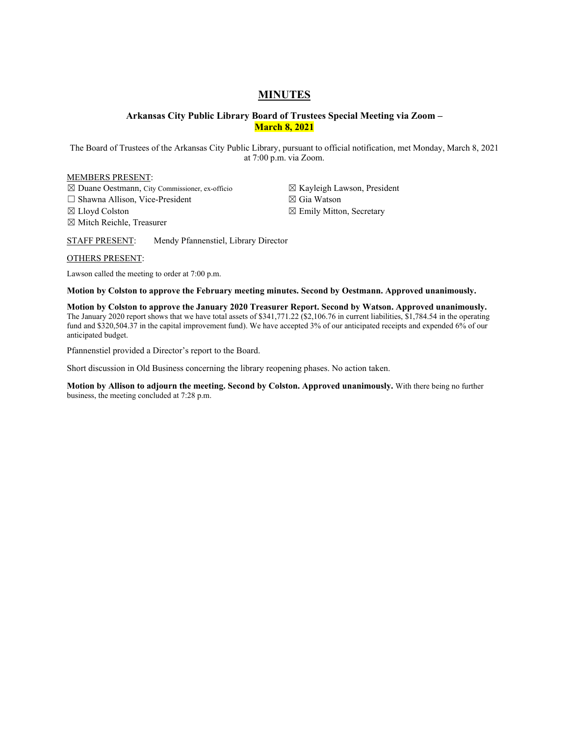# **MINUTES**

# **Arkansas City Public Library Board of Trustees Special Meeting via Zoom – March 8, 2021**

The Board of Trustees of the Arkansas City Public Library, pursuant to official notification, met Monday, March 8, 2021 at 7:00 p.m. via Zoom.

#### MEMBERS PRESENT:

☒ Duane Oestmann, City Commissioner, ex-officio

☐ Shawna Allison, Vice-President

☒ Lloyd Colston

☒ Mitch Reichle, Treasurer

☒ Kayleigh Lawson, President ☒ Gia Watson

☒ Emily Mitton, Secretary

STAFF PRESENT: Mendy Pfannenstiel, Library Director

#### OTHERS PRESENT:

Lawson called the meeting to order at 7:00 p.m.

**Motion by Colston to approve the February meeting minutes. Second by Oestmann. Approved unanimously.** 

**Motion by Colston to approve the January 2020 Treasurer Report. Second by Watson. Approved unanimously.**  The January 2020 report shows that we have total assets of \$341,771.22 (\$2,106.76 in current liabilities, \$1,784.54 in the operating fund and \$320,504.37 in the capital improvement fund). We have accepted 3% of our anticipated receipts and expended 6% of our anticipated budget.

Pfannenstiel provided a Director's report to the Board.

Short discussion in Old Business concerning the library reopening phases. No action taken.

**Motion by Allison to adjourn the meeting. Second by Colston. Approved unanimously.** With there being no further business, the meeting concluded at 7:28 p.m.